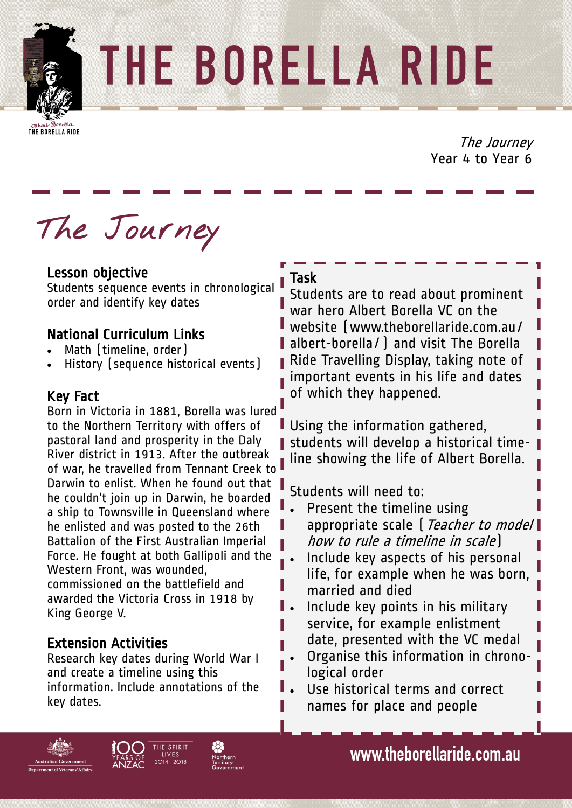

THE BORELLA RIDE

THE BORELLA RIDE

The Journey Year 4 to Year 6

**The Journey**

### Lesson objective

Students sequence events in chronological order and identify key dates

# National Curriculum Links

- Math (timeline, order)
- History (sequence historical events)

#### Key Fact

Born in Victoria in 1881, Borella was lured to the Northern Territory with offers of pastoral land and prosperity in the Daly River district in 1913. After the outbreak of war, he travelled from Tennant Creek to Darwin to enlist. When he found out that he couldn't join up in Darwin, he boarded a ship to Townsville in Queensland where he enlisted and was posted to the 26th Battalion of the First Australian Imperial Force. He fought at both Gallipoli and the Western Front, was wounded, commissioned on the battlefield and awarded the Victoria Cross in 1918 by King George V.

# Extension Activities

Research key dates during World War I and create a timeline using this information. Include annotations of the key dates.

#### Task

Students are to read about prominent war hero Albert Borella VC on the website (www.theborellaride.com.au/ albert-borella/) and visit The Borella Ride Travelling Display, taking note of important events in his life and dates of which they happened.

Using the information gathered, students will develop a historical timeline showing the life of Albert Borella.

Students will need to:

- Present the timeline using appropriate scale [ Teacher to model | how to rule a timeline in scale)
- Include key aspects of his personal life, for example when he was born, married and died
- Include key points in his military service, for example enlistment date, presented with the VC medal
- Organise this information in chronological order
- Use historical terms and correct names for place and people







www.theborellaride.com.au